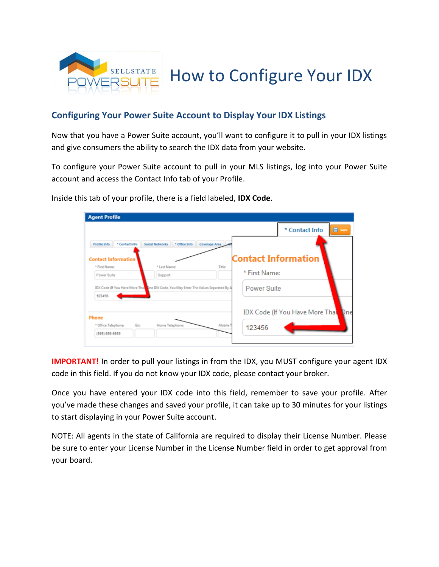

How to Configure Your IDX

## **Configuring Your Power Suite Account to Display Your IDX Listings**

Now that you have a Power Suite account, you'll want to configure it to pull in your IDX listings and give consumers the ability to search the IDX data from your website.

To configure your Power Suite account to pull in your MLS listings, log into your Power Suite account and access the Contact Info tab of your Profile.

|                                |                                                                                       |               | * Contact Info                         | в<br>Save |
|--------------------------------|---------------------------------------------------------------------------------------|---------------|----------------------------------------|-----------|
| * Contact Info<br>Profile Info | <b>Social Networks</b><br>* Office Info                                               | Coverage Area |                                        |           |
| <b>Contact Information</b>     |                                                                                       |               | <b>Contact Information</b>             |           |
| * First Name:                  | * Last Name:                                                                          | Title:        |                                        |           |
| Power Suite                    | Support                                                                               |               | * First Name:                          |           |
| 123456                         | IDX Code (If You Have More That One IDX Code, You May Enter The Values Separated By A |               | Power Suite                            |           |
|                                |                                                                                       |               | <b>IDX Code (If You Have More Thal</b> |           |

Inside this tab of your profile, there is a field labeled, **IDX Code**.

**IMPORTANT!** In order to pull your listings in from the IDX, you MUST configure your agent IDX code in this field. If you do not know your IDX code, please contact your broker.

Once you have entered your IDX code into this field, remember to save your profile. After you've made these changes and saved your profile, it can take up to 30 minutes for your listings to start displaying in your Power Suite account.

NOTE: All agents in the state of California are required to display their License Number. Please be sure to enter your License Number in the License Number field in order to get approval from your board.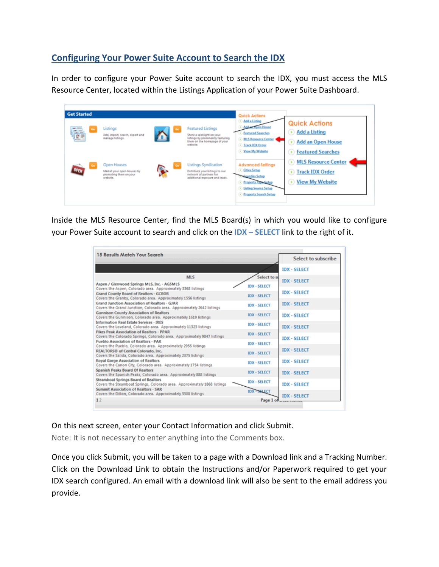## **Configuring Your Power Suite Account to Search the IDX**

In order to configure your Power Suite account to search the IDX, you must access the MLS Resource Center, located within the Listings Application of your Power Suite Dashboard.

| <b>Get Started</b> |                                                                                 |          |                                                                                                                                        | <b>Quick Actions</b>                                                                                                                                       |                                                                                                                                                                   |
|--------------------|---------------------------------------------------------------------------------|----------|----------------------------------------------------------------------------------------------------------------------------------------|------------------------------------------------------------------------------------------------------------------------------------------------------------|-------------------------------------------------------------------------------------------------------------------------------------------------------------------|
| è<br>$\sim$        | Listings<br>Add, import, search, export and<br>manage listings.                 | ስ        | <b>Featured Listings</b><br>Shine a spotlight on your<br>listings by prominently featuring<br>them on the homepage of your<br>website. | Md a Listing<br>sen House<br><b>Featured Searches</b><br>> MLS Resource Center<br>-<br><b>Inck IDX Order</b><br>• Yiew My Website                          | <b>Quick Actions</b><br><b>Add a Listing</b><br>$\blacktriangleright$<br><b>Add an Open House</b><br>Đ)<br><b>Featured Searches</b><br>$\left( \mathbf{r}\right)$ |
| œ<br><b>OPEN</b>   | Open Houses<br>Market your open houses by<br>promoting them on your<br>website. | <b>R</b> | Listings Syndication<br>Distribute your listings to our<br>network of partners for<br>additional exposure and leads.                   | <b>Advanced Settings</b><br>Cities Setup<br>Counties Setup<br><b>Emperty Type Setup</b><br><b>1</b> Listing Source Setup<br><b>D</b> Property Search Setup | <b>MLS Resource Center</b><br>$\left( \bullet \right)$<br><b>Track IDX Order</b><br>(1)<br><b>View My Website</b><br>×                                            |

Inside the MLS Resource Center, find the MLS Board(s) in which you would like to configure your Power Suite account to search and click on the **IDX – SELECT** link to the right of it.

| 15 Results Match Your Search                                                                                           |                     | Select to subscribe |
|------------------------------------------------------------------------------------------------------------------------|---------------------|---------------------|
|                                                                                                                        |                     | <b>IDX - SELECT</b> |
| <b>MLS</b>                                                                                                             | Select to su        |                     |
| Aspen / Glenwood Springs MLS, Inc. - AGSMLS<br>Covers the Aspen, Colorado area. Approximately 3368 listings            | <b>IDX - SELECT</b> | <b>IDX - SELECT</b> |
| <b>Grand County Board of Realtors - GCBOR</b><br>Covers the Granby, Colorado area. Approximately 1556 listings         | <b>IDX - SELECT</b> | <b>IDX - SELECT</b> |
| Grand Junction Association of Realtors - GJAR<br>Covers the Grand Junction, Colorado area. Approximately 2642 listings | <b>IDX - SELECT</b> | <b>IDX - SELECT</b> |
| <b>Gunnison County Association of Realtors</b><br>Covers the Gunnison, Colorado area. Approximately 1619 listings      | <b>IDX - SELECT</b> | <b>IDX - SELECT</b> |
| Information Real Estate Services - IRES<br>Covers the Loveland, Colorado area. Approximately 11323 listings            | <b>IDX - SELECT</b> | <b>IDX - SELECT</b> |
| Pikes Peak Association of Realfors - PPAR<br>Covers the Colorado Springs, Colorado area. Approximately 9847 listings   | <b>IDX - SELECT</b> | <b>IDX - SELECT</b> |
| Pueblo Association of Realtors - PAR<br>Covers the Pueblo, Colorado area. Approximately 2955 listings                  | <b>IDX - SELECT</b> |                     |
| REALTORS® of Central Colorado, Inc.<br>Covers the Salida, Colorado area. Approximately 2375 listings                   | <b>IDX - SELECT</b> | <b>IDX - SELECT</b> |
| <b>Royal Gorge Association of Realtors</b><br>Covers the Canon City, Colorado area. Approximately 1754 listings        | <b>IDX - SELECT</b> | <b>IDX - SELECT</b> |
| Spanish Peaks Board Of Realtors<br>Covers the Spanish Peaks, Colorado area. Approximately 888 listings                 | <b>IDX - SELECT</b> | <b>IDX - SELECT</b> |
| <b>Steamboat Springs Board of Realtors</b><br>Covers the Steamboat Springs, Colorado area. Approximately 1868 listings | <b>IDX - SELECT</b> | <b>IDX - SELECT</b> |
| Summit Association of Realtors - SAR<br>Covers the Dillon, Colorado area. Approximately 3308 listings                  | IDX - SELECT        | <b>IDX - SELECT</b> |
| 12                                                                                                                     | Page 1 of           |                     |

On this next screen, enter your Contact Information and click Submit.

Note: It is not necessary to enter anything into the Comments box.

Once you click Submit, you will be taken to a page with a Download link and a Tracking Number. Click on the Download Link to obtain the Instructions and/or Paperwork required to get your IDX search configured. An email with a download link will also be sent to the email address you provide.